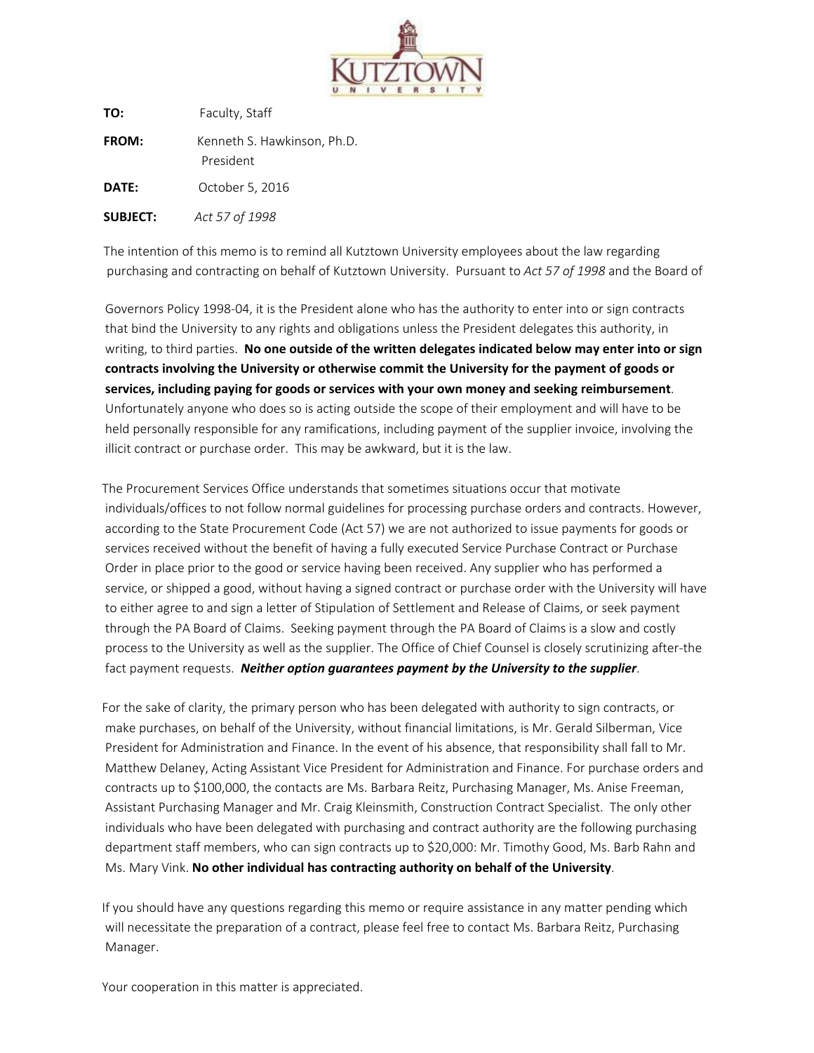

**TO:** F[aculty, Staff](mailto:brahn@kutztown.edu) **FROM:** Kenneth S. Hawkinson, Ph.D. President **DATE:** October 5, 2016 **SUBJECT:** *Act 57 of 1998*

[The intention of this memo is to remind all Kutztown University employees about the law regarding](http://www.kutztown.edu/about-ku/administrative-offices/procurement-services/for-staff-and-faculty/additional-resources.htm)  [purchasing and contracting on beh](http://www.kutztown.edu/about-ku/administrative-offices/procurement-services/for-staff-and-faculty/additional-resources.htm)alf of Kutztown University. Pursuant to *Act 57 of 1998* and the Board of

 Governors Policy 1998-04, it is the President alone who has the authority to enter into or sign contracts that bind the University to any rights and obligations unless the President delegates this authority, in writing, to third parties. **No one outside of the written delegates indicated below may enter into or sign contracts involving the University or otherwise commit the University for the payment of goods or services, including paying for goods or services with your own money and seeking reimbursement**. Unfortunately anyone who does so is acting outside the scope of their employment and will have to be held personally responsible for any ramifications, including payment of the supplier invoice, involving the illicit con[tract or purchase order. This](mailto:reitz@kutztown.edu) may be awkward, but it is the law.

The Procurement Services Office understands that sometimes situations occur that motivate individuals/offices to not follow normal guidelines for processing purchase orders and contracts. However, according to the State Procurement Code (Act 57) we are not authorized to issue payments for goods or services received without the benefit of having a fully executed Service Purchase Contract or Purchase Order in place prior to the good or service having been received. Any supplier who has performed a service, or shipped a good, without having a signed contract or purchase order with the University will have to either agree to and sign a letter of Stipulation of Settlement and Release of Claims, or seek payment through the PA Board of Claims. Seeking payment through the PA Board of Claims is a slow and costly process to the University as well as the supplier. The Office of Chief Counsel is closely scrutinizing after-the fact payment requests. *Neither option guarantees payment by the University to the supplier*.

For the sake of clarity, the primary person who has been delegated with authority to sign contracts, or make purchases, on behalf of the University, without financial limitations, is Mr. Gerald Silberman, Vice President for Administration and Finance. In the event of his absence, that responsibility shall fall to Mr. Matthew Delaney, Acting Assistant Vice President for Administration and Finance. For purchase orders and contracts up to \$100,000, the contacts are Ms. Barbara Reitz, Purchasing Manager, Ms. Anise Freeman, Assistant Purchasing Manager and Mr. Craig Kleinsmith, Construction Contract Specialist. The only other individuals who have been delegated with purchasing and contract authority are the following purchasing department staff members, who can sign contracts up to \$20,000: Mr. Timothy Good, Ms. Barb Rahn and Ms. Mary Vink. **No other individual has contracting authority on behalf of the University**.

If you should have any questions regarding this memo or require assistance in any matter pending which will necessitate the preparation of a contract, please feel free to contact Ms. Barbara Reitz, Purchasing Manager.

Your cooperation in this matter is appreciated.